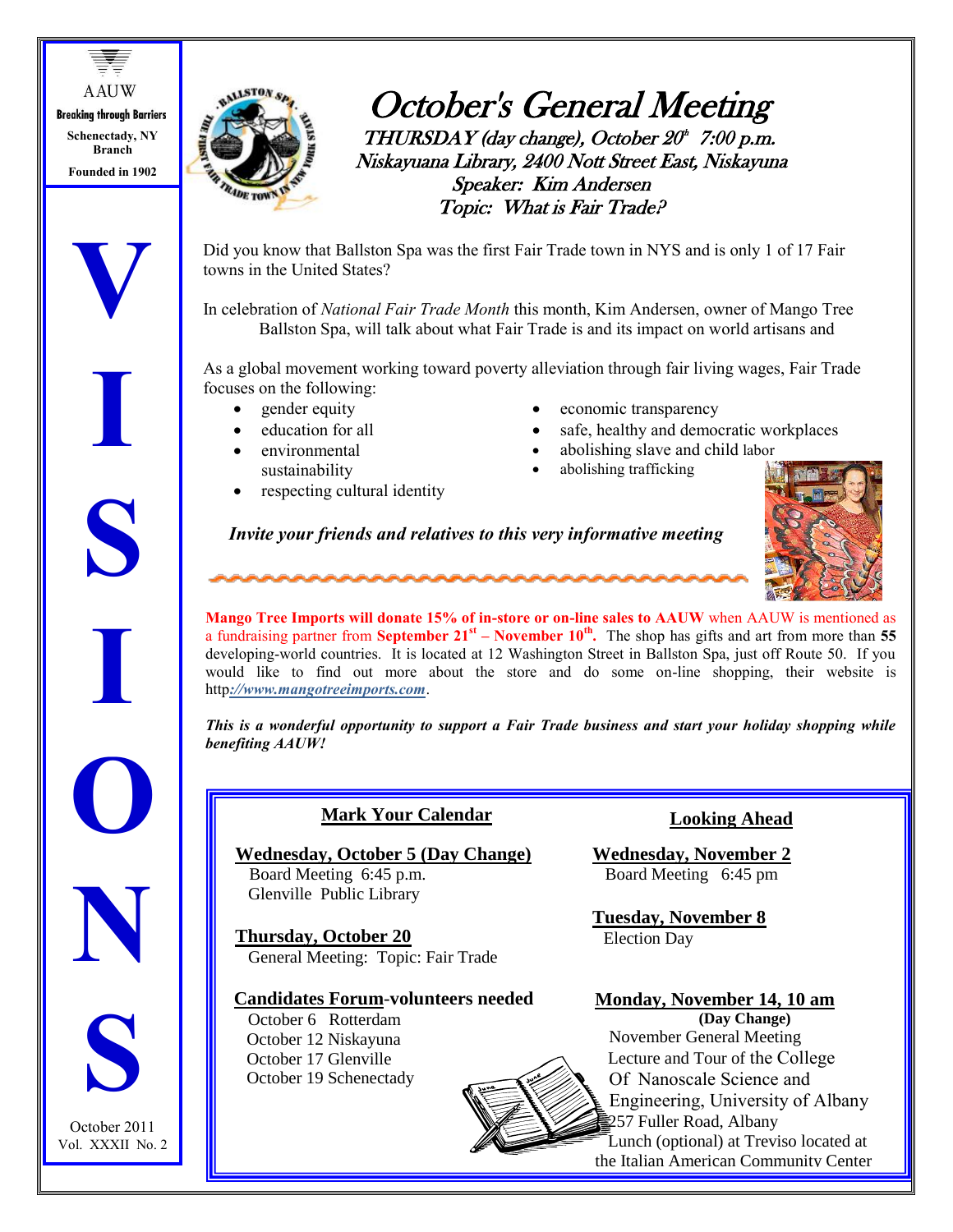**A AUW Breaking through Barriers Schenectady, NY Branch Founded in 1902**

**V**

**I**

**S**

**I**

**O**

**N**



# October's General Meeting  $THURSDAY$  (day change), October  $20<sup>th</sup>$  7:00 p.m. Niskayuana Library, 2400 Nott Street East, Niskayuna Speaker: Kim Andersen Topic: What is Fair Trade?

 Did you know that Ballston Spa was the first Fair Trade town in NYS and is only 1 of 17 Fair towns in the United States?

In celebration of *National Fair Trade Month* this month, Kim Andersen, owner of Mango Tree Ballston Spa, will talk about what Fair Trade is and its impact on world artisans and

As a global movement working toward poverty alleviation through fair living wages, Fair Trade focuses on the following:

- gender equity
- education for all
- environmental sustainability
- respecting cultural identity
- economic transparency
- safe, healthy and democratic workplaces
- abolishing slave and child labor
- abolishing trafficking

*Invite your friends and relatives to this very informative meeting*



**Mango Tree Imports will donate 15% of in-store or on-line sales to AAUW** when AAUW is mentioned as a fundraising partner from **September 21st – November 10th .** The shop has gifts and art from more than **55** developing-world countries. It is located at 12 Washington Street in Ballston Spa, just off Route 50. If you would like to find out more about the store and do some on-line shopping, their website is http*://www.mangotreeimports.com*.

*This is a wonderful opportunity to support a Fair Trade business and start your holiday shopping while benefiting AAUW!*

| <b>Mark Your Calendar</b>                |
|------------------------------------------|
| <b>Wednesday, October 5 (Day Change)</b> |
| Board Meeting 6:45 p.m.                  |
| Glenville Public Library                 |
| <b>Thursday, October 20</b>              |

General Meeting: Topic: Fair Trade

## **Candidates Forum**-**volunteers needed**

 October 6 Rotterdam October 12 Niskayuna October 17 Glenville October 19 Schenectady

## **Looking Ahead**

**Wednesday, November 2** Board Meeting 6:45 pm

**Tuesday, November 8** Election Day

Restaurant.

**Monday, November 14, 10 am (Day Change)** November General Meeting Lecture and Tour of the College Of Nanoscale Science and Engineering, University of Albany 257 Fuller Road, Albany Lunch (optional) at Treviso located at the Italian American Community Center



October 2011 Vol. XXXII No. 2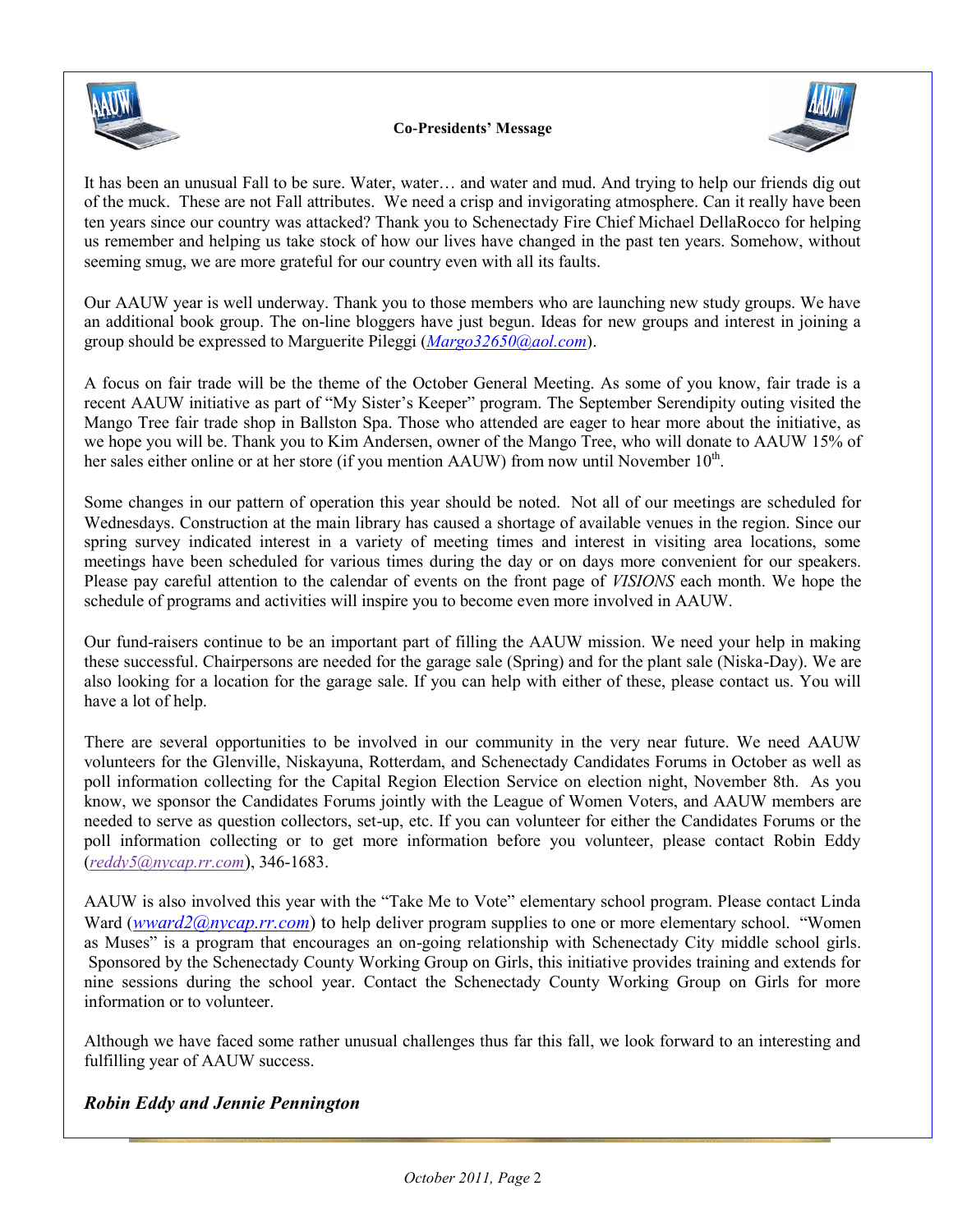



It has been an unusual Fall to be sure. Water, water… and water and mud. And trying to help our friends dig out of the muck. These are not Fall attributes. We need a crisp and invigorating atmosphere. Can it really have been ten years since our country was attacked? Thank you to Schenectady Fire Chief Michael DellaRocco for helping us remember and helping us take stock of how our lives have changed in the past ten years. Somehow, without seeming smug, we are more grateful for our country even with all its faults.

Our AAUW year is well underway. Thank you to those members who are launching new study groups. We have an additional book group. The on-line bloggers have just begun. Ideas for new groups and interest in joining a group should be expressed to Marguerite Pileggi (*[Margo32650@aol.com](mailto:Margo32650@aol.com)*).

A focus on fair trade will be the theme of the October General Meeting. As some of you know, fair trade is a recent AAUW initiative as part of "My Sister's Keeper" program. The September Serendipity outing visited the Mango Tree fair trade shop in Ballston Spa. Those who attended are eager to hear more about the initiative, as we hope you will be. Thank you to Kim Andersen, owner of the Mango Tree, who will donate to AAUW 15% of her sales either online or at her store (if you mention AAUW) from now until November  $10<sup>th</sup>$ .

Some changes in our pattern of operation this year should be noted. Not all of our meetings are scheduled for Wednesdays. Construction at the main library has caused a shortage of available venues in the region. Since our spring survey indicated interest in a variety of meeting times and interest in visiting area locations, some meetings have been scheduled for various times during the day or on days more convenient for our speakers. Please pay careful attention to the calendar of events on the front page of *VISIONS* each month. We hope the schedule of programs and activities will inspire you to become even more involved in AAUW.

Our fund-raisers continue to be an important part of filling the AAUW mission. We need your help in making these successful. Chairpersons are needed for the garage sale (Spring) and for the plant sale (Niska-Day). We are also looking for a location for the garage sale. If you can help with either of these, please contact us. You will have a lot of help.

There are several opportunities to be involved in our community in the very near future. We need AAUW volunteers for the Glenville, Niskayuna, Rotterdam, and Schenectady Candidates Forums in October as well as poll information collecting for the Capital Region Election Service on election night, November 8th. As you know, we sponsor the Candidates Forums jointly with the League of Women Voters, and AAUW members are needed to serve as question collectors, set-up, etc. If you can volunteer for either the Candidates Forums or the poll information collecting or to get more information before you volunteer, please contact Robin Eddy (*[reddy5@nycap.rr.com](mailto:reddy5@nycap.rr.com)*), 346-1683.

AAUW is also involved this year with the "Take Me to Vote" elementary school program. Please contact Linda Ward (*[wward2@nycap.rr.com](mailto:wward2@nycap.rr.com)*) to help deliver program supplies to one or more elementary school. "Women as Muses" is a program that encourages an on-going relationship with Schenectady City middle school girls. Sponsored by the Schenectady County Working Group on Girls, this initiative provides training and extends for nine sessions during the school year. Contact the Schenectady County Working Group on Girls for more information or to volunteer.

Although we have faced some rather unusual challenges thus far this fall, we look forward to an interesting and fulfilling year of AAUW success.

## *Robin Eddy and Jennie Pennington*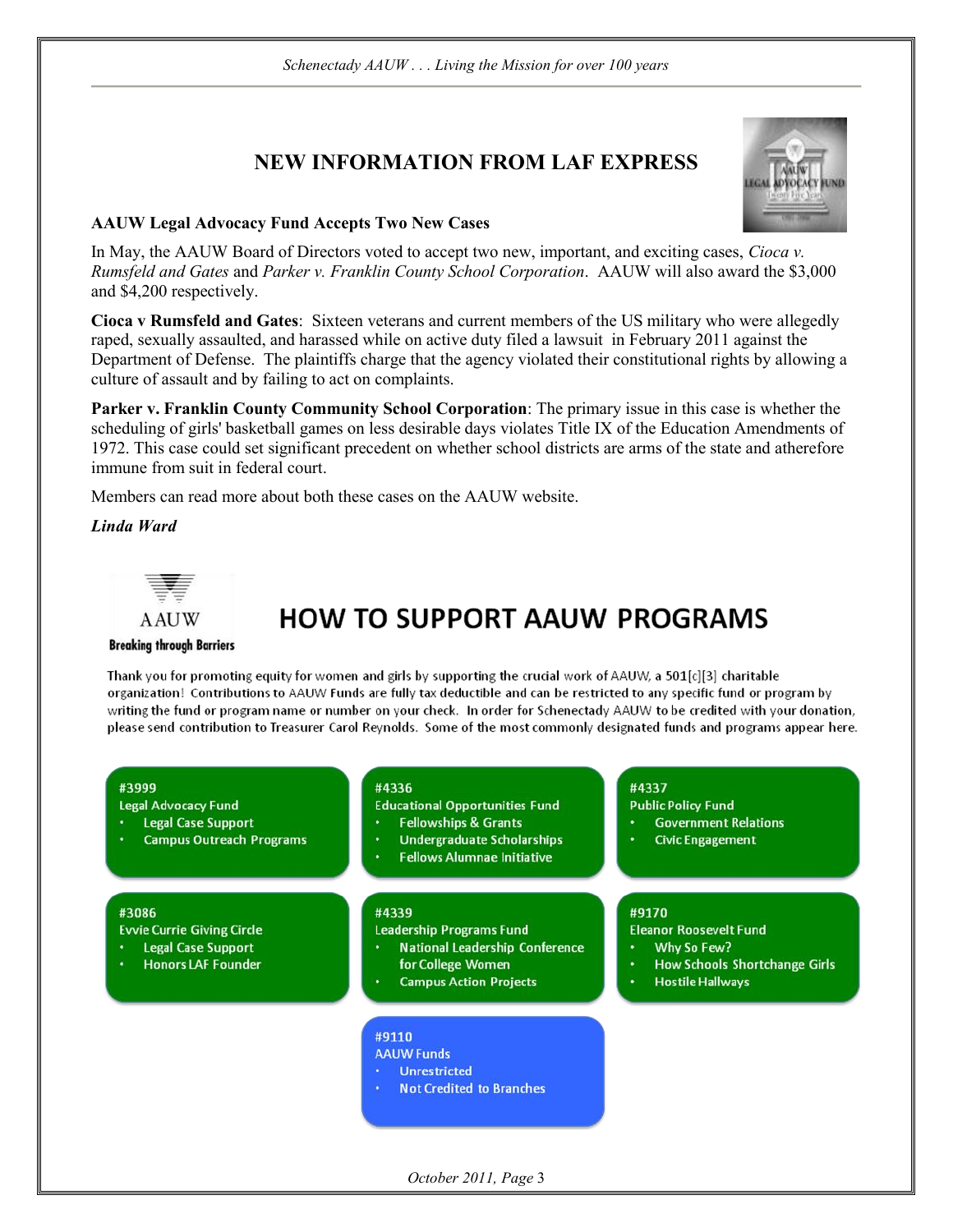## **NEW INFORMATION FROM LAF EXPRESS**



## **AAUW Legal Advocacy Fund Accepts Two New Cases**

In May, the AAUW Board of Directors voted to accept two new, important, and exciting cases, Cioca  $v$ . Rumsfeld and Gates and Parker v. Franklin County School Corporation. AAUW will also award the \$3,000 and \$4,200 respectively.

Cioca v Rumsfeld and Gates: Sixteen veterans and current members of the US military who were allegedly raped, sexually assaulted, and harassed while on active duty filed a lawsuit in February 2011 against the Department of Defense. The plaintiffs charge that the agency violated their constitutional rights by allowing a culture of assault and by failing to act on complaints.

Parker v. Franklin County Community School Corporation: The primary issue in this case is whether the scheduling of girls' basketball games on less desirable days violates Title IX of the Education Amendments of 1972. This case could set significant precedent on whether school districts are arms of the state and atherefore immune from suit in federal court.

Members can read more about both these cases on the AAUW website.

Linda Ward



# **HOW TO SUPPORT AAUW PROGRAMS**

#### **Breaking through Barriers**

Thank you for promoting equity for women and girls by supporting the crucial work of AAUW, a 501[c][3] charitable organization! Contributions to AAUW Funds are fully tax deductible and can be restricted to any specific fund or program by writing the fund or program name or number on your check. In order for Schenectady AAUW to be credited with your donation, please send contribution to Treasurer Carol Reynolds. Some of the most commonly designated funds and programs appear here.

#### #3999

**Legal Advocacy Fund** 

- **Legal Case Support**
- **Campus Outreach Programs**

#### #3086

**Evvie Currie Giving Circle** 

- **Legal Case Support**
- **Honors LAF Founder**

#### #4336

- **Educational Opportunities Fund**
- **Fellowships & Grants**
- **Undergraduate Scholarships**
- **Fellows Alumnae Initiative**

#### #4339

**Leadership Programs Fund** 

- **National Leadership Conference** for College Women
- **Campus Action Projects**

#### #9110

**AAUW Funds** 

- **Unrestricted**
- **Not Credited to Branches**

## #4337

**Public Policy Fund** 

- **Government Relations**
- **Civic Engagement**

## #9170

**Eleanor Roosevelt Fund** 

- Why So Few?
- **How Schools Shortchange Girls**
- **Hostile Hallways**

October 2011, Page 3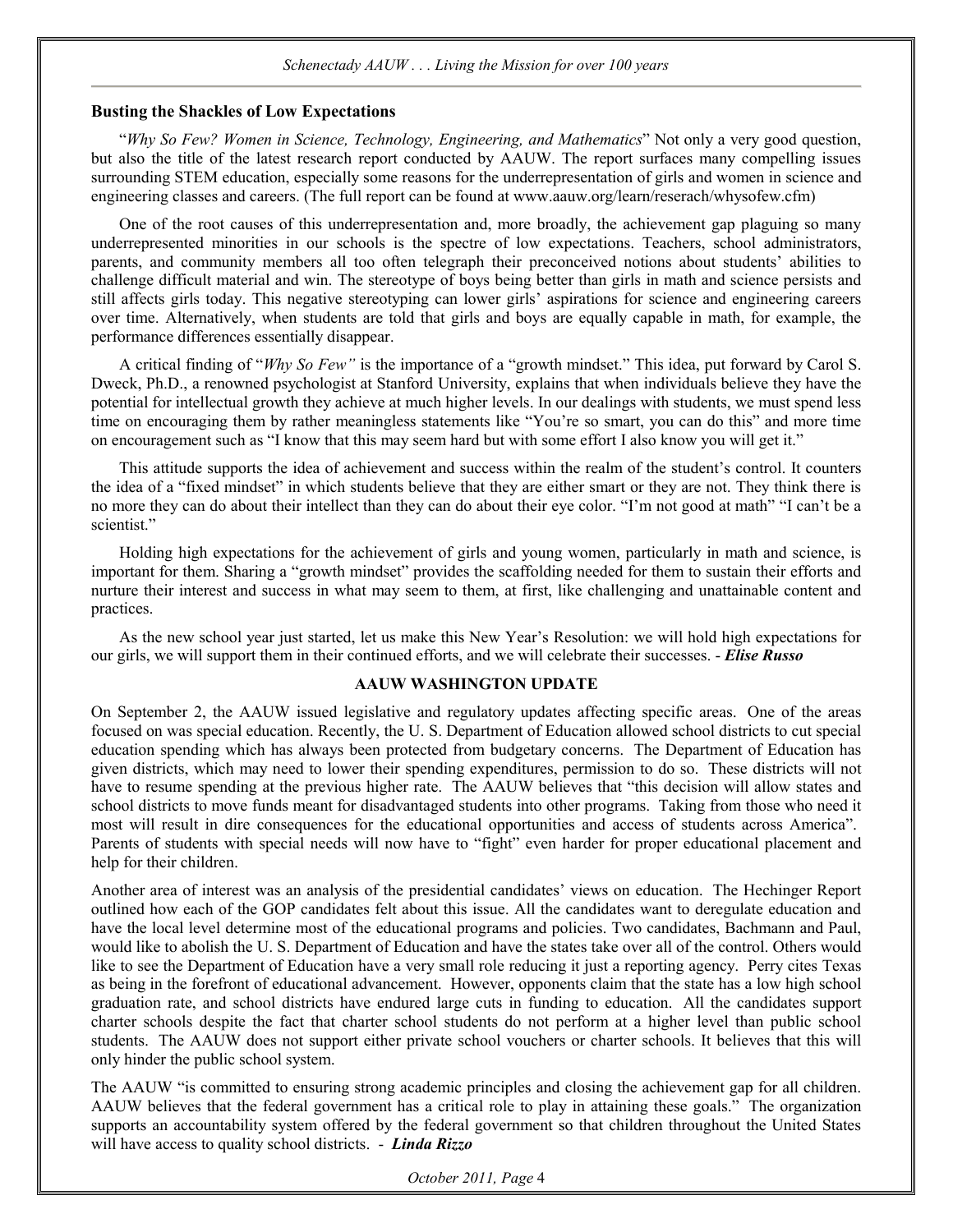#### *Schenectady AAUW . . . Living the Mission for over 100 years*

#### **Busting the Shackles of Low Expectations**

"*Why So Few? Women in Science, Technology, Engineering, and Mathematics*" Not only a very good question, but also the title of the latest research report conducted by AAUW. The report surfaces many compelling issues surrounding STEM education, especially some reasons for the underrepresentation of girls and women in science and engineering classes and careers. (The full report can be found at www.aauw.org/learn/reserach/whysofew.cfm)

One of the root causes of this underrepresentation and, more broadly, the achievement gap plaguing so many underrepresented minorities in our schools is the spectre of low expectations. Teachers, school administrators, parents, and community members all too often telegraph their preconceived notions about students' abilities to challenge difficult material and win. The stereotype of boys being better than girls in math and science persists and still affects girls today. This negative stereotyping can lower girls' aspirations for science and engineering careers over time. Alternatively, when students are told that girls and boys are equally capable in math, for example, the performance differences essentially disappear.

A critical finding of "*Why So Few"* is the importance of a "growth mindset." This idea, put forward by Carol S. Dweck, Ph.D., a renowned psychologist at Stanford University, explains that when individuals believe they have the potential for intellectual growth they achieve at much higher levels. In our dealings with students, we must spend less time on encouraging them by rather meaningless statements like "You're so smart, you can do this" and more time on encouragement such as "I know that this may seem hard but with some effort I also know you will get it."

This attitude supports the idea of achievement and success within the realm of the student's control. It counters the idea of a "fixed mindset" in which students believe that they are either smart or they are not. They think there is no more they can do about their intellect than they can do about their eye color. "I'm not good at math" "I can't be a scientist."

Holding high expectations for the achievement of girls and young women, particularly in math and science, is important for them. Sharing a "growth mindset" provides the scaffolding needed for them to sustain their efforts and nurture their interest and success in what may seem to them, at first, like challenging and unattainable content and practices.

As the new school year just started, let us make this New Year's Resolution: we will hold high expectations for our girls, we will support them in their continued efforts, and we will celebrate their successes. - *Elise Russo*

## **AAUW WASHINGTON UPDATE**

On September 2, the AAUW issued legislative and regulatory updates affecting specific areas. One of the areas focused on was special education. Recently, the U. S. Department of Education allowed school districts to cut special education spending which has always been protected from budgetary concerns. The Department of Education has given districts, which may need to lower their spending expenditures, permission to do so. These districts will not have to resume spending at the previous higher rate. The AAUW believes that "this decision will allow states and school districts to move funds meant for disadvantaged students into other programs. Taking from those who need it most will result in dire consequences for the educational opportunities and access of students across America". Parents of students with special needs will now have to "fight" even harder for proper educational placement and help for their children.

Another area of interest was an analysis of the presidential candidates' views on education. The Hechinger Report outlined how each of the GOP candidates felt about this issue. All the candidates want to deregulate education and have the local level determine most of the educational programs and policies. Two candidates, Bachmann and Paul, would like to abolish the U. S. Department of Education and have the states take over all of the control. Others would like to see the Department of Education have a very small role reducing it just a reporting agency. Perry cites Texas as being in the forefront of educational advancement. However, opponents claim that the state has a low high school graduation rate, and school districts have endured large cuts in funding to education. All the candidates support charter schools despite the fact that charter school students do not perform at a higher level than public school students. The AAUW does not support either private school vouchers or charter schools. It believes that this will only hinder the public school system.

The AAUW "is committed to ensuring strong academic principles and closing the achievement gap for all children. AAUW believes that the federal government has a critical role to play in attaining these goals." The organization supports an accountability system offered by the federal government so that children throughout the United States will have access to quality school districts. - *Linda Rizzo*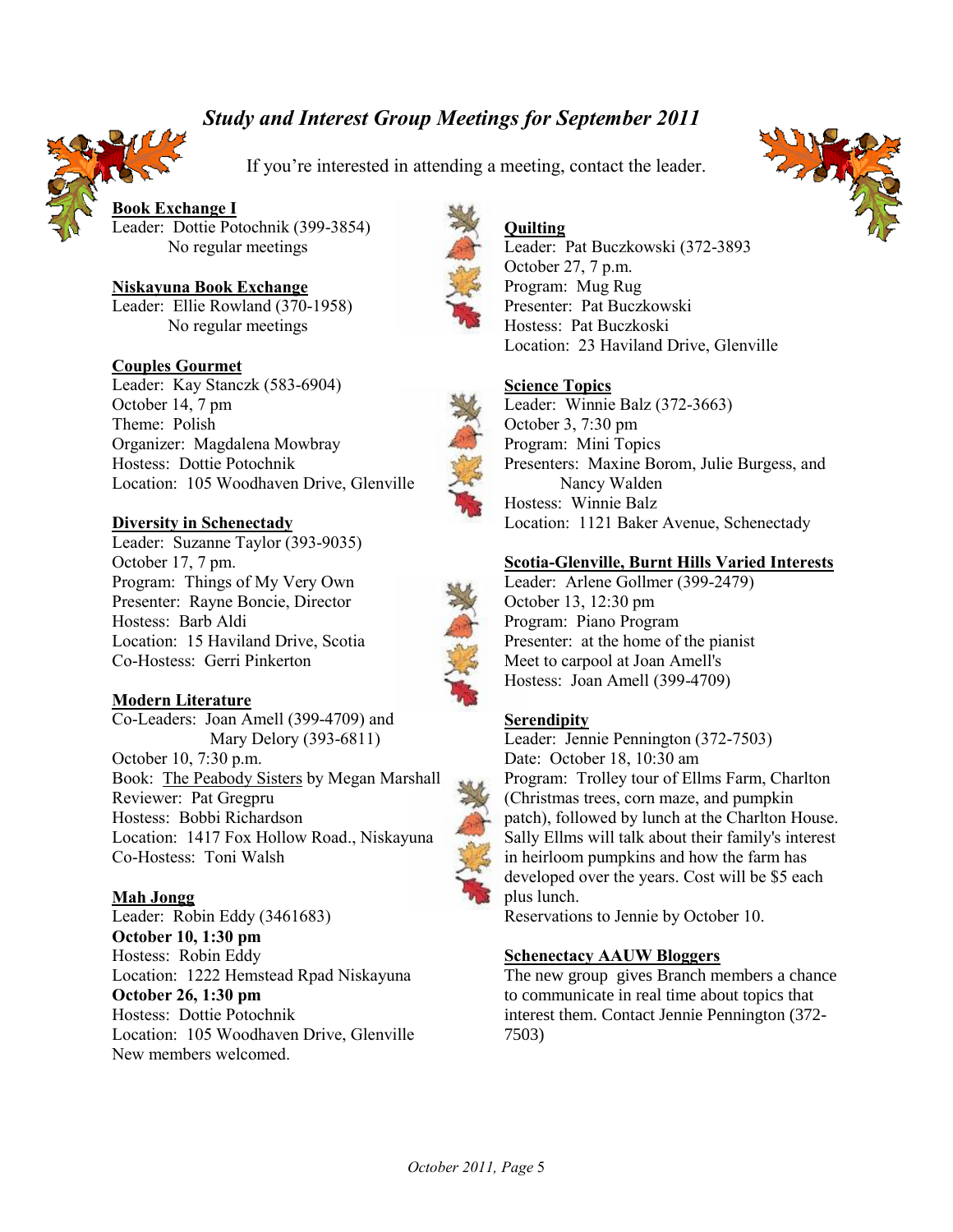# *Study and Interest Group Meetings for September 2011*



If you're interested in attending a meeting, contact the leader.

**Book Exchange I** Leader: Dottie Potochnik (399-3854) No regular meetings

**Niskayuna Book Exchange** Leader: Ellie Rowland (370-1958) No regular meetings

## **Couples Gourmet**

Leader: Kay Stanczk (583-6904) October 14, 7 pm Theme: Polish Organizer: Magdalena Mowbray Hostess: Dottie Potochnik Location: 105 Woodhaven Drive, Glenville

### **Diversity in Schenectady**

Leader: Suzanne Taylor (393-9035) October 17, 7 pm. Program: Things of My Very Own Presenter: Rayne Boncie, Director Hostess: Barb Aldi Location: 15 Haviland Drive, Scotia Co-Hostess: Gerri Pinkerton

#### **Modern Literature**

Co-Leaders: Joan Amell (399-4709) and Mary Delory (393-6811) October 10, 7:30 p.m. Book: The Peabody Sisters by Megan Marshall Reviewer: Pat Gregpru Hostess: Bobbi Richardson Location: 1417 Fox Hollow Road., Niskayuna Co-Hostess: Toni Walsh

### **Mah Jongg**

Leader: Robin Eddy (3461683) **October 10, 1:30 pm** Hostess: Robin Eddy Location: 1222 Hemstead Rpad Niskayuna **October 26, 1:30 pm** Hostess: Dottie Potochnik Location: 105 Woodhaven Drive, Glenville New members welcomed.



## **Quilting**

Leader: Pat Buczkowski (372-3893 October 27, 7 p.m. Program: Mug Rug Presenter: Pat Buczkowski Hostess: Pat Buczkoski Location: 23 Haviland Drive, Glenville

#### **Science Topics**

Leader: Winnie Balz (372-3663) October 3, 7:30 pm Program: Mini Topics Presenters: Maxine Borom, Julie Burgess, and Nancy Walden Hostess: Winnie Balz Location: 1121 Baker Avenue, Schenectady

#### **Scotia-Glenville, Burnt Hills Varied Interests**

Leader: Arlene Gollmer (399-2479) October 13, 12:30 pm Program: Piano Program Presenter: at the home of the pianist Meet to carpool at Joan Amell's Hostess: Joan Amell (399-4709)

## **Serendipity**

Leader: Jennie Pennington (372-7503) Date: October 18, 10:30 am Program: Trolley tour of Ellms Farm, Charlton (Christmas trees, corn maze, and pumpkin patch), followed by lunch at the Charlton House. Sally Ellms will talk about their family's interest in heirloom pumpkins and how the farm has developed over the years. Cost will be \$5 each plus lunch.

Reservations to Jennie by October 10.

#### **Schenectacy AAUW Bloggers**

The new group gives Branch members a chance to communicate in real time about topics that interest them. Contact Jennie Pennington (372- 7503)